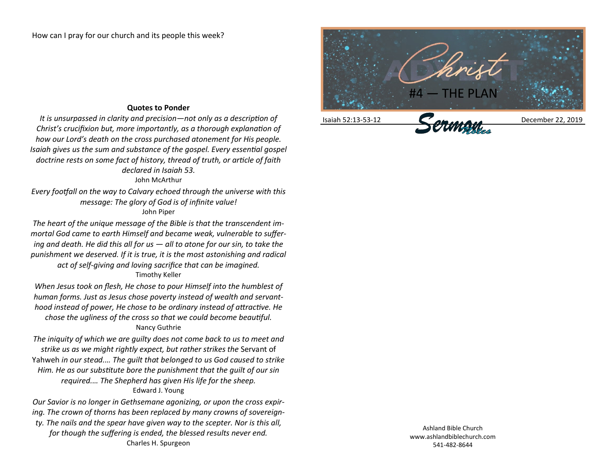## Isaiah 52:13-53-12 December 22, 2019

## **Quotes to Ponder**

*It is unsurpassed in clarity and precision—not only as a description of Christ's crucifixion but, more importantly, as a thorough explanation of how our Lord's death on the cross purchased atonement for His people. Isaiah gives us the sum and substance of the gospel. Every essential gospel doctrine rests on some fact of history, thread of truth, or article of faith declared in Isaiah 53.*

## John McArthur

*Every footfall on the way to Calvary echoed through the universe with this message: The glory of God is of infinite value!* John Piper

*The heart of the unique message of the Bible is that the transcendent immortal God came to earth Himself and became weak, vulnerable to suffering and death. He did this all for us — all to atone for our sin, to take the punishment we deserved. If it is true, it is the most astonishing and radical act of self-giving and loving sacrifice that can be imagined.*

## Timothy Keller

*When Jesus took on flesh, He chose to pour Himself into the humblest of human forms. Just as Jesus chose poverty instead of wealth and servanthood instead of power, He chose to be ordinary instead of attractive. He chose the ugliness of the cross so that we could become beautiful.* Nancy Guthrie

*The iniquity of which we are guilty does not come back to us to meet and strike us as we might rightly expect, but rather strikes the* Servant of Yahweh *in our stead.… The guilt that belonged to us God caused to strike Him. He as our substitute bore the punishment that the guilt of our sin required.… The Shepherd has given His life for the sheep.* Edward J. Young

*Our Savior is no longer in Gethsemane agonizing, or upon the cross expiring. The crown of thorns has been replaced by many crowns of sovereignty. The nails and the spear have given way to the scepter. Nor is this all, for though the suffering is ended, the blessed results never end.* Charles H. Spurgeon

Ashland Bible Church www.ashlandbiblechurch.com 541-482-8644